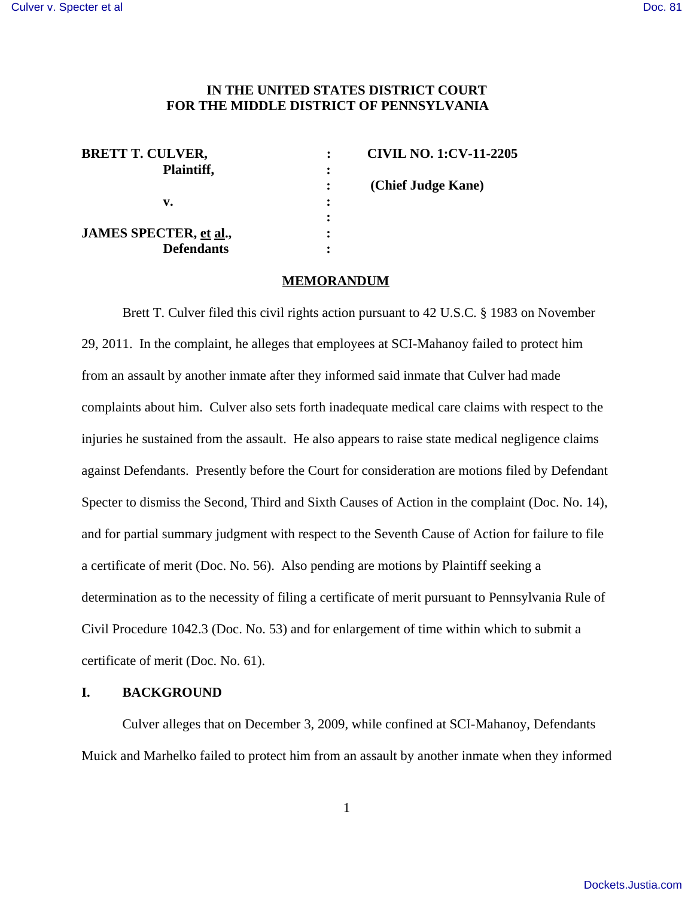# **IN THE UNITED STATES DISTRICT COURT FOR THE MIDDLE DISTRICT OF PENNSYLVANIA**

| <b>BRETT T. CULVER,</b> |   | <b>CIVIL NO. 1:CV-11-2205</b> |
|-------------------------|---|-------------------------------|
| Plaintiff,              | ፡ |                               |
|                         |   | (Chief Judge Kane)            |
| v.                      | : |                               |
|                         |   |                               |
| JAMES SPECTER, et al.,  | ٠ |                               |
| <b>Defendants</b>       |   |                               |

#### **MEMORANDUM**

Brett T. Culver filed this civil rights action pursuant to 42 U.S.C. § 1983 on November 29, 2011. In the complaint, he alleges that employees at SCI-Mahanoy failed to protect him from an assault by another inmate after they informed said inmate that Culver had made complaints about him. Culver also sets forth inadequate medical care claims with respect to the injuries he sustained from the assault. He also appears to raise state medical negligence claims against Defendants. Presently before the Court for consideration are motions filed by Defendant Specter to dismiss the Second, Third and Sixth Causes of Action in the complaint (Doc. No. 14), and for partial summary judgment with respect to the Seventh Cause of Action for failure to file a certificate of merit (Doc. No. 56). Also pending are motions by Plaintiff seeking a determination as to the necessity of filing a certificate of merit pursuant to Pennsylvania Rule of Civil Procedure 1042.3 (Doc. No. 53) and for enlargement of time within which to submit a certificate of merit (Doc. No. 61).

## **I. BACKGROUND**

Culver alleges that on December 3, 2009, while confined at SCI-Mahanoy, Defendants Muick and Marhelko failed to protect him from an assault by another inmate when they informed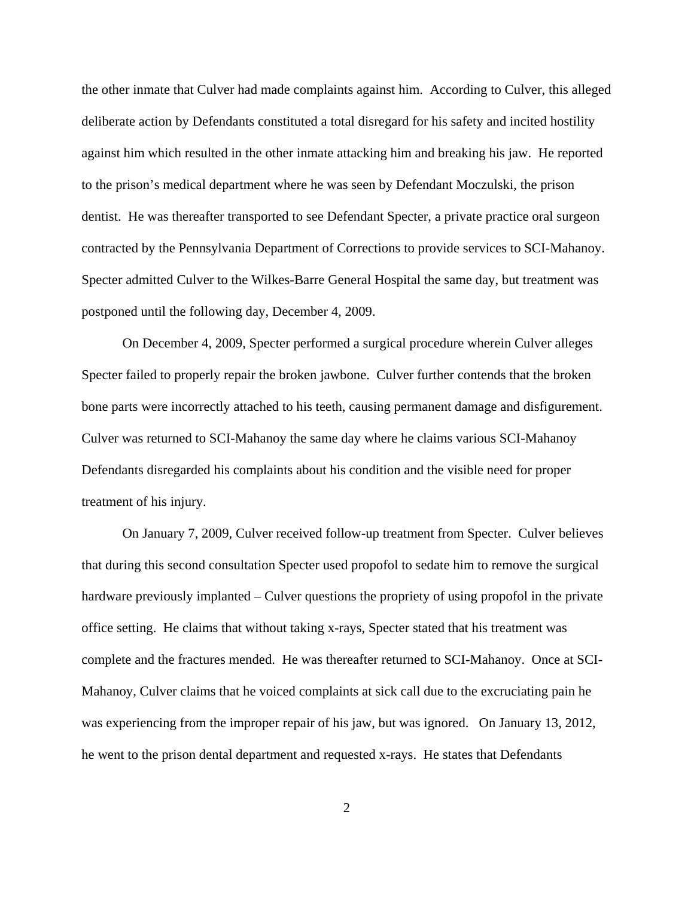the other inmate that Culver had made complaints against him. According to Culver, this alleged deliberate action by Defendants constituted a total disregard for his safety and incited hostility against him which resulted in the other inmate attacking him and breaking his jaw. He reported to the prison's medical department where he was seen by Defendant Moczulski, the prison dentist. He was thereafter transported to see Defendant Specter, a private practice oral surgeon contracted by the Pennsylvania Department of Corrections to provide services to SCI-Mahanoy. Specter admitted Culver to the Wilkes-Barre General Hospital the same day, but treatment was postponed until the following day, December 4, 2009.

On December 4, 2009, Specter performed a surgical procedure wherein Culver alleges Specter failed to properly repair the broken jawbone. Culver further contends that the broken bone parts were incorrectly attached to his teeth, causing permanent damage and disfigurement. Culver was returned to SCI-Mahanoy the same day where he claims various SCI-Mahanoy Defendants disregarded his complaints about his condition and the visible need for proper treatment of his injury.

On January 7, 2009, Culver received follow-up treatment from Specter. Culver believes that during this second consultation Specter used propofol to sedate him to remove the surgical hardware previously implanted – Culver questions the propriety of using propofol in the private office setting. He claims that without taking x-rays, Specter stated that his treatment was complete and the fractures mended. He was thereafter returned to SCI-Mahanoy. Once at SCI-Mahanoy, Culver claims that he voiced complaints at sick call due to the excruciating pain he was experiencing from the improper repair of his jaw, but was ignored. On January 13, 2012, he went to the prison dental department and requested x-rays. He states that Defendants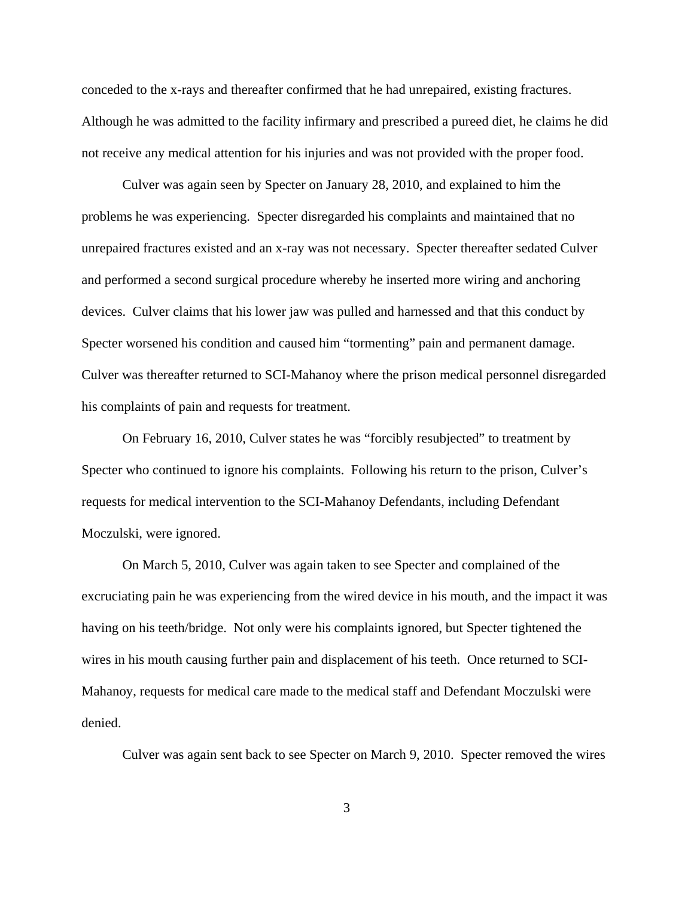conceded to the x-rays and thereafter confirmed that he had unrepaired, existing fractures. Although he was admitted to the facility infirmary and prescribed a pureed diet, he claims he did not receive any medical attention for his injuries and was not provided with the proper food.

Culver was again seen by Specter on January 28, 2010, and explained to him the problems he was experiencing. Specter disregarded his complaints and maintained that no unrepaired fractures existed and an x-ray was not necessary. Specter thereafter sedated Culver and performed a second surgical procedure whereby he inserted more wiring and anchoring devices. Culver claims that his lower jaw was pulled and harnessed and that this conduct by Specter worsened his condition and caused him "tormenting" pain and permanent damage. Culver was thereafter returned to SCI-Mahanoy where the prison medical personnel disregarded his complaints of pain and requests for treatment.

On February 16, 2010, Culver states he was "forcibly resubjected" to treatment by Specter who continued to ignore his complaints. Following his return to the prison, Culver's requests for medical intervention to the SCI-Mahanoy Defendants, including Defendant Moczulski, were ignored.

On March 5, 2010, Culver was again taken to see Specter and complained of the excruciating pain he was experiencing from the wired device in his mouth, and the impact it was having on his teeth/bridge. Not only were his complaints ignored, but Specter tightened the wires in his mouth causing further pain and displacement of his teeth. Once returned to SCI-Mahanoy, requests for medical care made to the medical staff and Defendant Moczulski were denied.

Culver was again sent back to see Specter on March 9, 2010. Specter removed the wires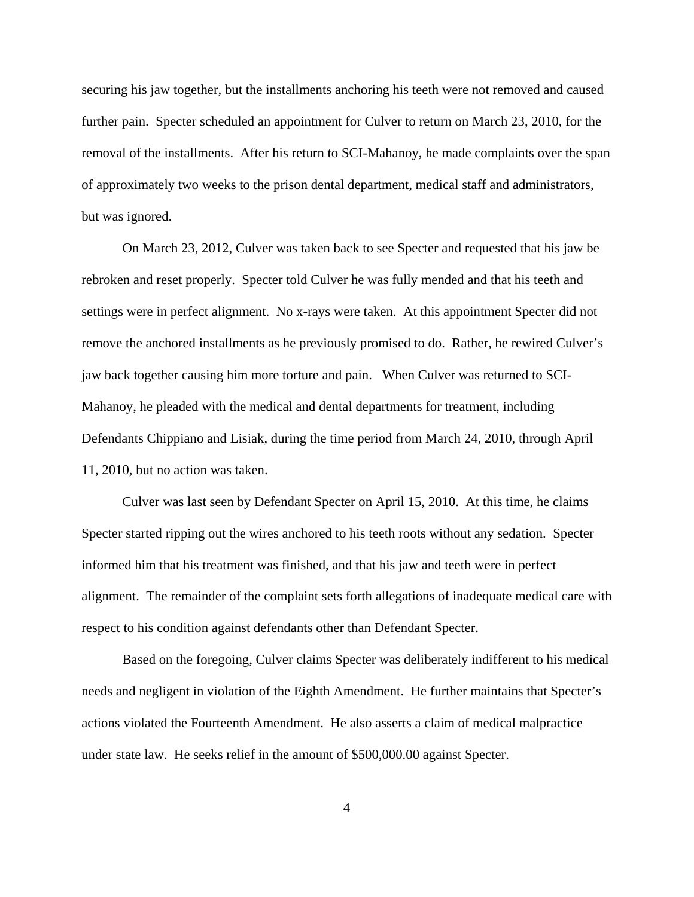securing his jaw together, but the installments anchoring his teeth were not removed and caused further pain. Specter scheduled an appointment for Culver to return on March 23, 2010, for the removal of the installments. After his return to SCI-Mahanoy, he made complaints over the span of approximately two weeks to the prison dental department, medical staff and administrators, but was ignored.

On March 23, 2012, Culver was taken back to see Specter and requested that his jaw be rebroken and reset properly. Specter told Culver he was fully mended and that his teeth and settings were in perfect alignment. No x-rays were taken. At this appointment Specter did not remove the anchored installments as he previously promised to do. Rather, he rewired Culver's jaw back together causing him more torture and pain. When Culver was returned to SCI-Mahanoy, he pleaded with the medical and dental departments for treatment, including Defendants Chippiano and Lisiak, during the time period from March 24, 2010, through April 11, 2010, but no action was taken.

Culver was last seen by Defendant Specter on April 15, 2010. At this time, he claims Specter started ripping out the wires anchored to his teeth roots without any sedation. Specter informed him that his treatment was finished, and that his jaw and teeth were in perfect alignment. The remainder of the complaint sets forth allegations of inadequate medical care with respect to his condition against defendants other than Defendant Specter.

Based on the foregoing, Culver claims Specter was deliberately indifferent to his medical needs and negligent in violation of the Eighth Amendment. He further maintains that Specter's actions violated the Fourteenth Amendment. He also asserts a claim of medical malpractice under state law. He seeks relief in the amount of \$500,000.00 against Specter.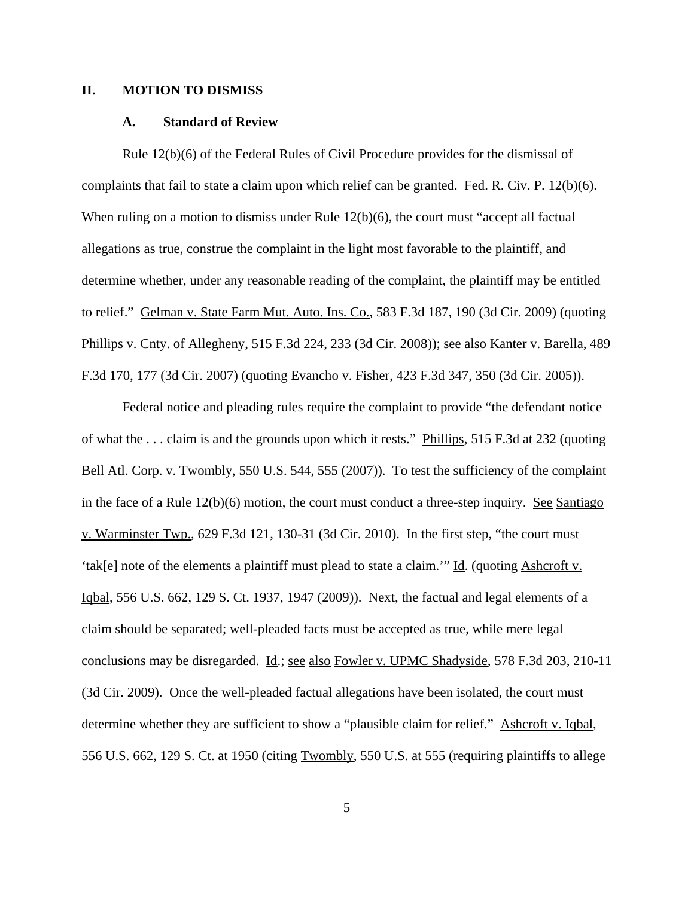## **II. MOTION TO DISMISS**

#### **A. Standard of Review**

Rule 12(b)(6) of the Federal Rules of Civil Procedure provides for the dismissal of complaints that fail to state a claim upon which relief can be granted. Fed. R. Civ. P. 12(b)(6). When ruling on a motion to dismiss under Rule 12(b)(6), the court must "accept all factual allegations as true, construe the complaint in the light most favorable to the plaintiff, and determine whether, under any reasonable reading of the complaint, the plaintiff may be entitled to relief." Gelman v. State Farm Mut. Auto. Ins. Co., 583 F.3d 187, 190 (3d Cir. 2009) (quoting Phillips v. Cnty. of Allegheny, 515 F.3d 224, 233 (3d Cir. 2008)); see also Kanter v. Barella, 489 F.3d 170, 177 (3d Cir. 2007) (quoting Evancho v. Fisher, 423 F.3d 347, 350 (3d Cir. 2005)).

Federal notice and pleading rules require the complaint to provide "the defendant notice of what the . . . claim is and the grounds upon which it rests." Phillips, 515 F.3d at 232 (quoting Bell Atl. Corp. v. Twombly, 550 U.S. 544, 555 (2007)). To test the sufficiency of the complaint in the face of a Rule 12(b)(6) motion, the court must conduct a three-step inquiry. See Santiago v. Warminster Twp., 629 F.3d 121, 130-31 (3d Cir. 2010). In the first step, "the court must 'tak[e] note of the elements a plaintiff must plead to state a claim.'" Id. (quoting Ashcroft v. Iqbal, 556 U.S. 662, 129 S. Ct. 1937, 1947 (2009)). Next, the factual and legal elements of a claim should be separated; well-pleaded facts must be accepted as true, while mere legal conclusions may be disregarded. Id.; see also Fowler v. UPMC Shadyside, 578 F.3d 203, 210-11 (3d Cir. 2009). Once the well-pleaded factual allegations have been isolated, the court must determine whether they are sufficient to show a "plausible claim for relief." Ashcroft v. Iqbal, 556 U.S. 662, 129 S. Ct. at 1950 (citing Twombly, 550 U.S. at 555 (requiring plaintiffs to allege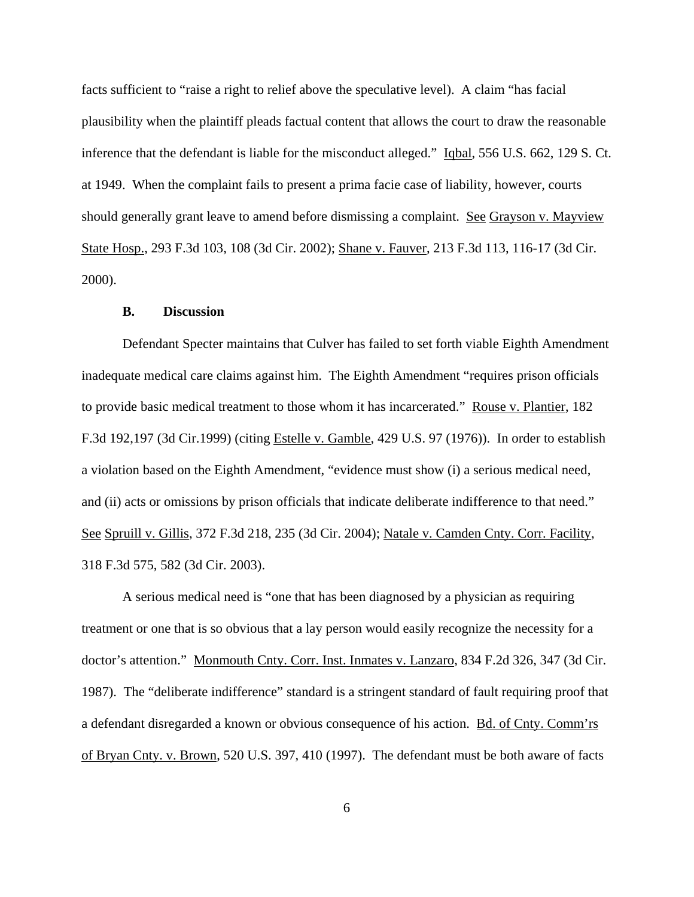facts sufficient to "raise a right to relief above the speculative level). A claim "has facial plausibility when the plaintiff pleads factual content that allows the court to draw the reasonable inference that the defendant is liable for the misconduct alleged." Iqbal, 556 U.S. 662, 129 S. Ct. at 1949. When the complaint fails to present a prima facie case of liability, however, courts should generally grant leave to amend before dismissing a complaint. See Grayson v. Mayview State Hosp., 293 F.3d 103, 108 (3d Cir. 2002); Shane v. Fauver, 213 F.3d 113, 116-17 (3d Cir. 2000).

#### **B. Discussion**

Defendant Specter maintains that Culver has failed to set forth viable Eighth Amendment inadequate medical care claims against him. The Eighth Amendment "requires prison officials to provide basic medical treatment to those whom it has incarcerated." Rouse v. Plantier, 182 F.3d 192,197 (3d Cir.1999) (citing Estelle v. Gamble, 429 U.S. 97 (1976)). In order to establish a violation based on the Eighth Amendment, "evidence must show (i) a serious medical need, and (ii) acts or omissions by prison officials that indicate deliberate indifference to that need." See Spruill v. Gillis, 372 F.3d 218, 235 (3d Cir. 2004); Natale v. Camden Cnty. Corr. Facility, 318 F.3d 575, 582 (3d Cir. 2003).

A serious medical need is "one that has been diagnosed by a physician as requiring treatment or one that is so obvious that a lay person would easily recognize the necessity for a doctor's attention." Monmouth Cnty. Corr. Inst. Inmates v. Lanzaro, 834 F.2d 326, 347 (3d Cir. 1987). The "deliberate indifference" standard is a stringent standard of fault requiring proof that a defendant disregarded a known or obvious consequence of his action. Bd. of Cnty. Comm'rs of Bryan Cnty. v. Brown, 520 U.S. 397, 410 (1997). The defendant must be both aware of facts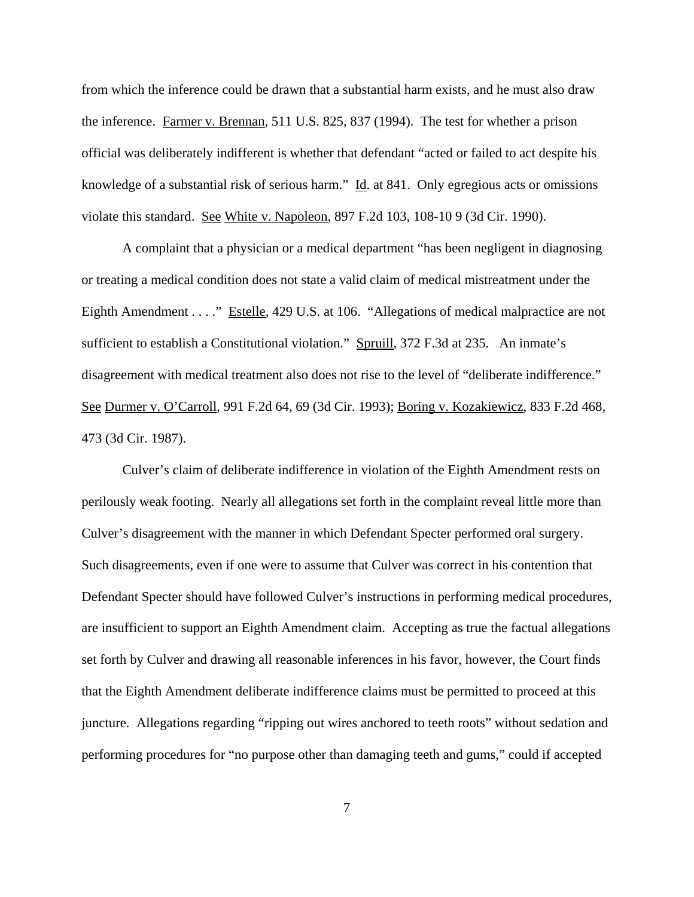from which the inference could be drawn that a substantial harm exists, and he must also draw the inference. Farmer v. Brennan, 511 U.S. 825, 837 (1994). The test for whether a prison official was deliberately indifferent is whether that defendant "acted or failed to act despite his knowledge of a substantial risk of serious harm." Id. at 841. Only egregious acts or omissions violate this standard. See White v. Napoleon, 897 F.2d 103, 108-10 9 (3d Cir. 1990).

A complaint that a physician or a medical department "has been negligent in diagnosing or treating a medical condition does not state a valid claim of medical mistreatment under the Eighth Amendment . . . " Estelle, 429 U.S. at 106. "Allegations of medical malpractice are not sufficient to establish a Constitutional violation." Spruill, 372 F.3d at 235. An inmate's disagreement with medical treatment also does not rise to the level of "deliberate indifference." See Durmer v. O'Carroll, 991 F.2d 64, 69 (3d Cir. 1993); Boring v. Kozakiewicz, 833 F.2d 468, 473 (3d Cir. 1987).

Culver's claim of deliberate indifference in violation of the Eighth Amendment rests on perilously weak footing. Nearly all allegations set forth in the complaint reveal little more than Culver's disagreement with the manner in which Defendant Specter performed oral surgery. Such disagreements, even if one were to assume that Culver was correct in his contention that Defendant Specter should have followed Culver's instructions in performing medical procedures, are insufficient to support an Eighth Amendment claim. Accepting as true the factual allegations set forth by Culver and drawing all reasonable inferences in his favor, however, the Court finds that the Eighth Amendment deliberate indifference claims must be permitted to proceed at this juncture. Allegations regarding "ripping out wires anchored to teeth roots" without sedation and performing procedures for "no purpose other than damaging teeth and gums," could if accepted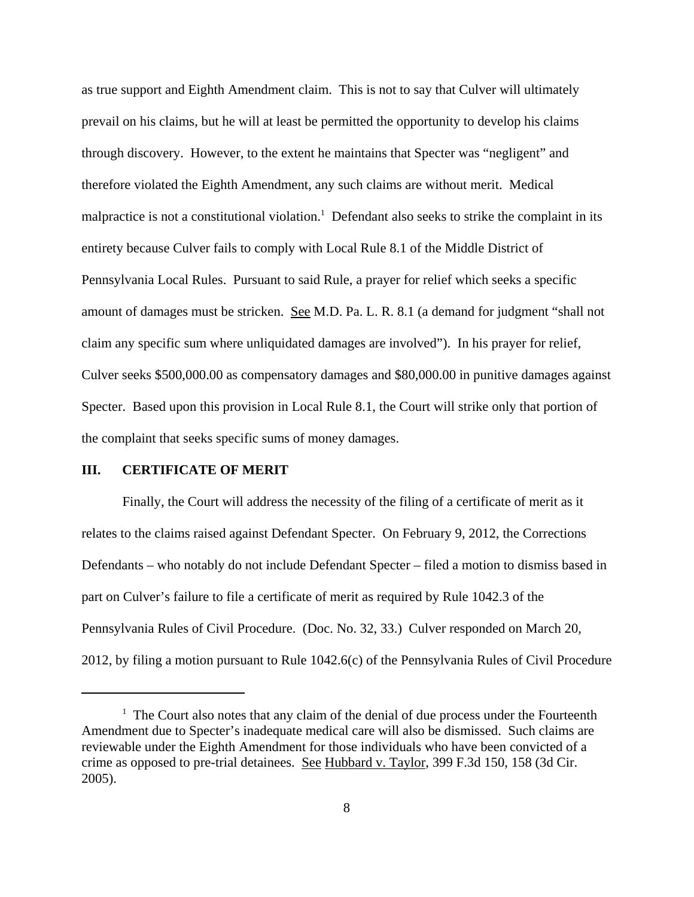as true support and Eighth Amendment claim. This is not to say that Culver will ultimately prevail on his claims, but he will at least be permitted the opportunity to develop his claims through discovery. However, to the extent he maintains that Specter was "negligent" and therefore violated the Eighth Amendment, any such claims are without merit. Medical malpractice is not a constitutional violation.<sup>1</sup> Defendant also seeks to strike the complaint in its entirety because Culver fails to comply with Local Rule 8.1 of the Middle District of Pennsylvania Local Rules. Pursuant to said Rule, a prayer for relief which seeks a specific amount of damages must be stricken. See M.D. Pa. L. R. 8.1 (a demand for judgment "shall not claim any specific sum where unliquidated damages are involved"). In his prayer for relief, Culver seeks \$500,000.00 as compensatory damages and \$80,000.00 in punitive damages against Specter. Based upon this provision in Local Rule 8.1, the Court will strike only that portion of the complaint that seeks specific sums of money damages.

## **III. CERTIFICATE OF MERIT**

Finally, the Court will address the necessity of the filing of a certificate of merit as it relates to the claims raised against Defendant Specter. On February 9, 2012, the Corrections Defendants – who notably do not include Defendant Specter – filed a motion to dismiss based in part on Culver's failure to file a certificate of merit as required by Rule 1042.3 of the Pennsylvania Rules of Civil Procedure. (Doc. No. 32, 33.) Culver responded on March 20, 2012, by filing a motion pursuant to Rule 1042.6(c) of the Pennsylvania Rules of Civil Procedure

 $<sup>1</sup>$  The Court also notes that any claim of the denial of due process under the Fourteenth</sup> Amendment due to Specter's inadequate medical care will also be dismissed. Such claims are reviewable under the Eighth Amendment for those individuals who have been convicted of a crime as opposed to pre-trial detainees. See Hubbard v. Taylor, 399 F.3d 150, 158 (3d Cir. 2005).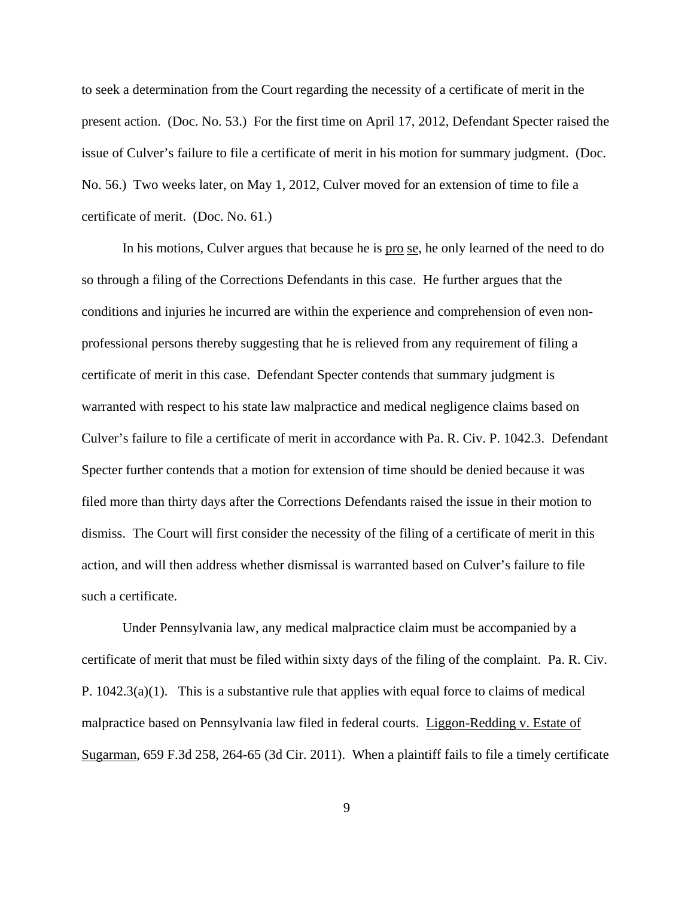to seek a determination from the Court regarding the necessity of a certificate of merit in the present action. (Doc. No. 53.) For the first time on April 17, 2012, Defendant Specter raised the issue of Culver's failure to file a certificate of merit in his motion for summary judgment. (Doc. No. 56.) Two weeks later, on May 1, 2012, Culver moved for an extension of time to file a certificate of merit. (Doc. No. 61.)

In his motions, Culver argues that because he is <u>pro se</u>, he only learned of the need to do so through a filing of the Corrections Defendants in this case. He further argues that the conditions and injuries he incurred are within the experience and comprehension of even nonprofessional persons thereby suggesting that he is relieved from any requirement of filing a certificate of merit in this case. Defendant Specter contends that summary judgment is warranted with respect to his state law malpractice and medical negligence claims based on Culver's failure to file a certificate of merit in accordance with Pa. R. Civ. P. 1042.3. Defendant Specter further contends that a motion for extension of time should be denied because it was filed more than thirty days after the Corrections Defendants raised the issue in their motion to dismiss. The Court will first consider the necessity of the filing of a certificate of merit in this action, and will then address whether dismissal is warranted based on Culver's failure to file such a certificate.

Under Pennsylvania law, any medical malpractice claim must be accompanied by a certificate of merit that must be filed within sixty days of the filing of the complaint. Pa. R. Civ. P.  $1042.3(a)(1)$ . This is a substantive rule that applies with equal force to claims of medical malpractice based on Pennsylvania law filed in federal courts. Liggon-Redding v. Estate of Sugarman, 659 F.3d 258, 264-65 (3d Cir. 2011). When a plaintiff fails to file a timely certificate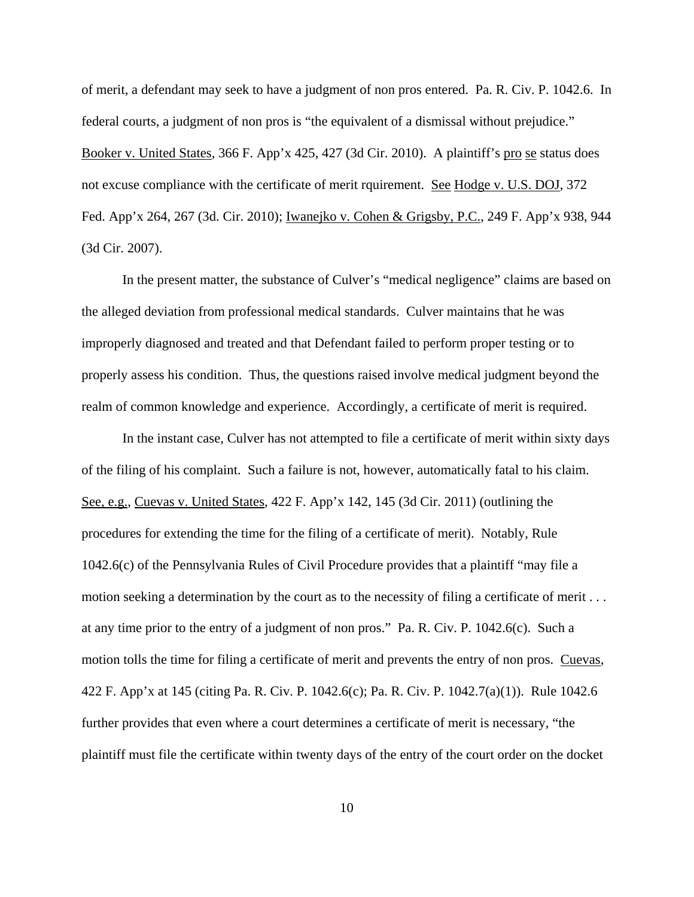of merit, a defendant may seek to have a judgment of non pros entered. Pa. R. Civ. P. 1042.6. In federal courts, a judgment of non pros is "the equivalent of a dismissal without prejudice." Booker v. United States, 366 F. App'x 425, 427 (3d Cir. 2010). A plaintiff's pro se status does not excuse compliance with the certificate of merit rquirement. See Hodge v. U.S. DOJ, 372 Fed. App'x 264, 267 (3d. Cir. 2010); Iwanejko v. Cohen & Grigsby, P.C., 249 F. App'x 938, 944 (3d Cir. 2007).

In the present matter, the substance of Culver's "medical negligence" claims are based on the alleged deviation from professional medical standards. Culver maintains that he was improperly diagnosed and treated and that Defendant failed to perform proper testing or to properly assess his condition. Thus, the questions raised involve medical judgment beyond the realm of common knowledge and experience. Accordingly, a certificate of merit is required.

In the instant case, Culver has not attempted to file a certificate of merit within sixty days of the filing of his complaint. Such a failure is not, however, automatically fatal to his claim. See, e.g., Cuevas v. United States, 422 F. App'x 142, 145 (3d Cir. 2011) (outlining the procedures for extending the time for the filing of a certificate of merit). Notably, Rule 1042.6(c) of the Pennsylvania Rules of Civil Procedure provides that a plaintiff "may file a motion seeking a determination by the court as to the necessity of filing a certificate of merit . . . at any time prior to the entry of a judgment of non pros." Pa. R. Civ. P. 1042.6(c). Such a motion tolls the time for filing a certificate of merit and prevents the entry of non pros. Cuevas, 422 F. App'x at 145 (citing Pa. R. Civ. P. 1042.6(c); Pa. R. Civ. P. 1042.7(a)(1)). Rule 1042.6 further provides that even where a court determines a certificate of merit is necessary, "the plaintiff must file the certificate within twenty days of the entry of the court order on the docket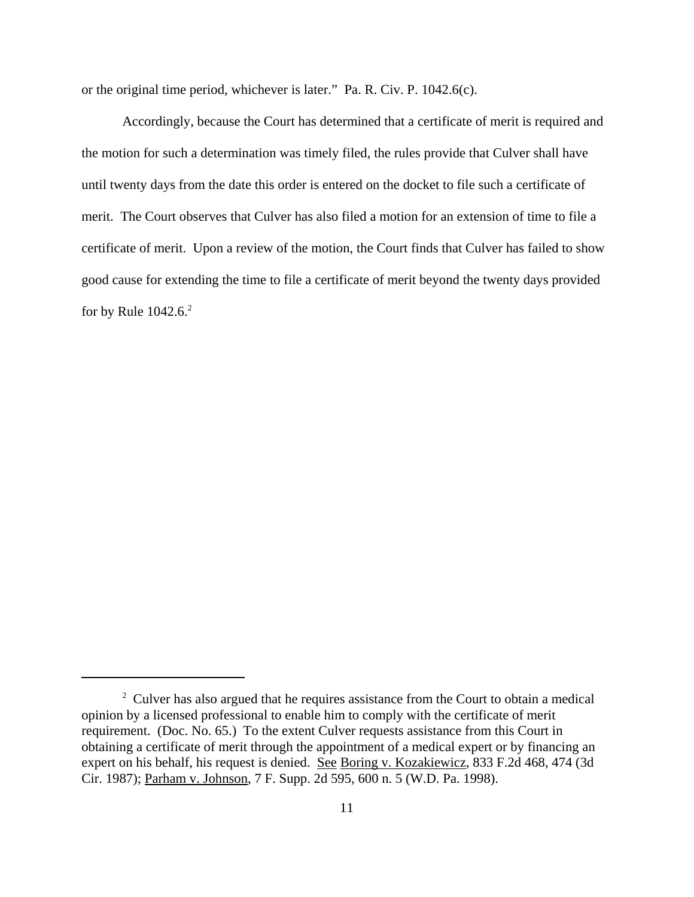or the original time period, whichever is later." Pa. R. Civ. P. 1042.6(c).

Accordingly, because the Court has determined that a certificate of merit is required and the motion for such a determination was timely filed, the rules provide that Culver shall have until twenty days from the date this order is entered on the docket to file such a certificate of merit. The Court observes that Culver has also filed a motion for an extension of time to file a certificate of merit. Upon a review of the motion, the Court finds that Culver has failed to show good cause for extending the time to file a certificate of merit beyond the twenty days provided for by Rule  $1042.6$ <sup>2</sup>

 $2^2$  Culver has also argued that he requires assistance from the Court to obtain a medical opinion by a licensed professional to enable him to comply with the certificate of merit requirement. (Doc. No. 65.) To the extent Culver requests assistance from this Court in obtaining a certificate of merit through the appointment of a medical expert or by financing an expert on his behalf, his request is denied. See Boring v. Kozakiewicz, 833 F.2d 468, 474 (3d Cir. 1987); Parham v. Johnson, 7 F. Supp. 2d 595, 600 n. 5 (W.D. Pa. 1998).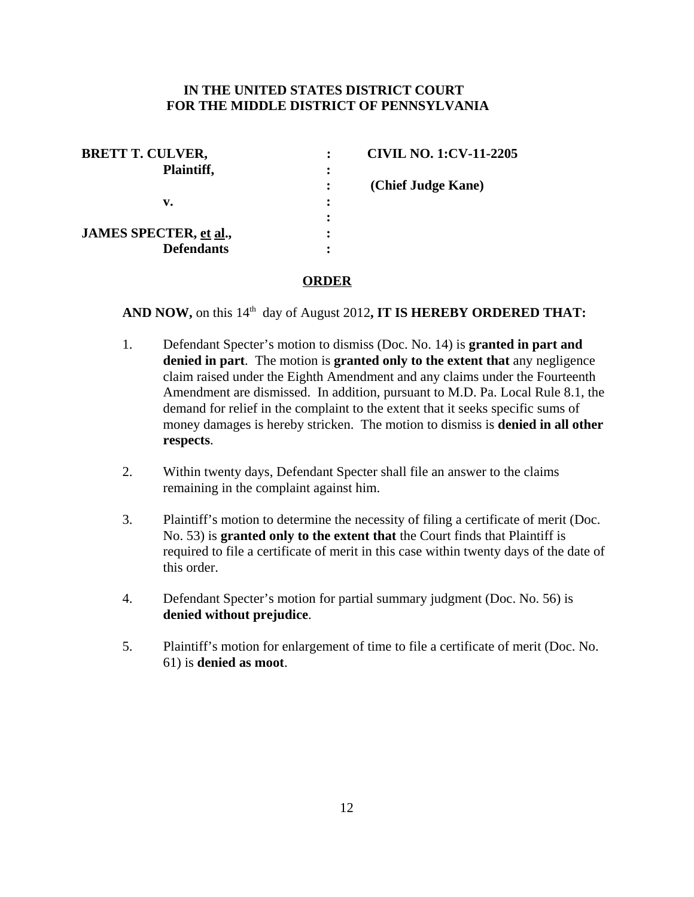# **IN THE UNITED STATES DISTRICT COURT FOR THE MIDDLE DISTRICT OF PENNSYLVANIA**

| <b>BRETT T. CULVER,</b> |   | <b>CIVIL NO. 1:CV-11-2205</b> |
|-------------------------|---|-------------------------------|
| Plaintiff,              |   |                               |
|                         |   | (Chief Judge Kane)            |
| v.                      | ٠ |                               |
|                         |   |                               |
| JAMES SPECTER, et al.,  |   |                               |
| <b>Defendants</b>       |   |                               |

# **ORDER**

AND NOW, on this 14<sup>th</sup> day of August 2012, IT IS HEREBY ORDERED THAT:

- 1. Defendant Specter's motion to dismiss (Doc. No. 14) is **granted in part and denied in part**. The motion is **granted only to the extent that** any negligence claim raised under the Eighth Amendment and any claims under the Fourteenth Amendment are dismissed. In addition, pursuant to M.D. Pa. Local Rule 8.1, the demand for relief in the complaint to the extent that it seeks specific sums of money damages is hereby stricken. The motion to dismiss is **denied in all other respects**.
- 2. Within twenty days, Defendant Specter shall file an answer to the claims remaining in the complaint against him.
- 3. Plaintiff's motion to determine the necessity of filing a certificate of merit (Doc. No. 53) is **granted only to the extent that** the Court finds that Plaintiff is required to file a certificate of merit in this case within twenty days of the date of this order.
- 4. Defendant Specter's motion for partial summary judgment (Doc. No. 56) is **denied without prejudice**.
- 5. Plaintiff's motion for enlargement of time to file a certificate of merit (Doc. No. 61) is **denied as moot**.